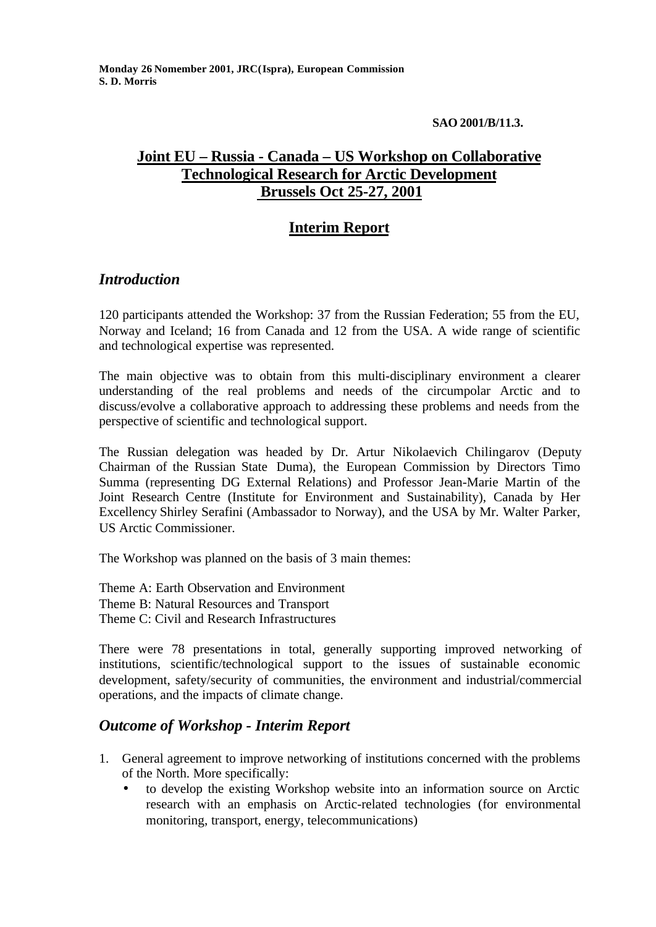### **SAO 2001/B/11.3.**

# **Joint EU – Russia - Canada – US Workshop on Collaborative Technological Research for Arctic Development Brussels Oct 25-27, 2001**

## **Interim Report**

## *Introduction*

120 participants attended the Workshop: 37 from the Russian Federation; 55 from the EU, Norway and Iceland; 16 from Canada and 12 from the USA. A wide range of scientific and technological expertise was represented.

The main objective was to obtain from this multi-disciplinary environment a clearer understanding of the real problems and needs of the circumpolar Arctic and to discuss/evolve a collaborative approach to addressing these problems and needs from the perspective of scientific and technological support.

The Russian delegation was headed by Dr. Artur Nikolaevich Chilingarov (Deputy Chairman of the Russian State Duma), the European Commission by Directors Timo Summa (representing DG External Relations) and Professor Jean-Marie Martin of the Joint Research Centre (Institute for Environment and Sustainability), Canada by Her Excellency Shirley Serafini (Ambassador to Norway), and the USA by Mr. Walter Parker, US Arctic Commissioner.

The Workshop was planned on the basis of 3 main themes:

Theme A: Earth Observation and Environment Theme B: Natural Resources and Transport Theme C: Civil and Research Infrastructures

There were 78 presentations in total, generally supporting improved networking of institutions, scientific/technological support to the issues of sustainable economic development, safety/security of communities, the environment and industrial/commercial operations, and the impacts of climate change.

### *Outcome of Workshop - Interim Report*

- 1. General agreement to improve networking of institutions concerned with the problems of the North. More specifically:
	- to develop the existing Workshop website into an information source on Arctic research with an emphasis on Arctic-related technologies (for environmental monitoring, transport, energy, telecommunications)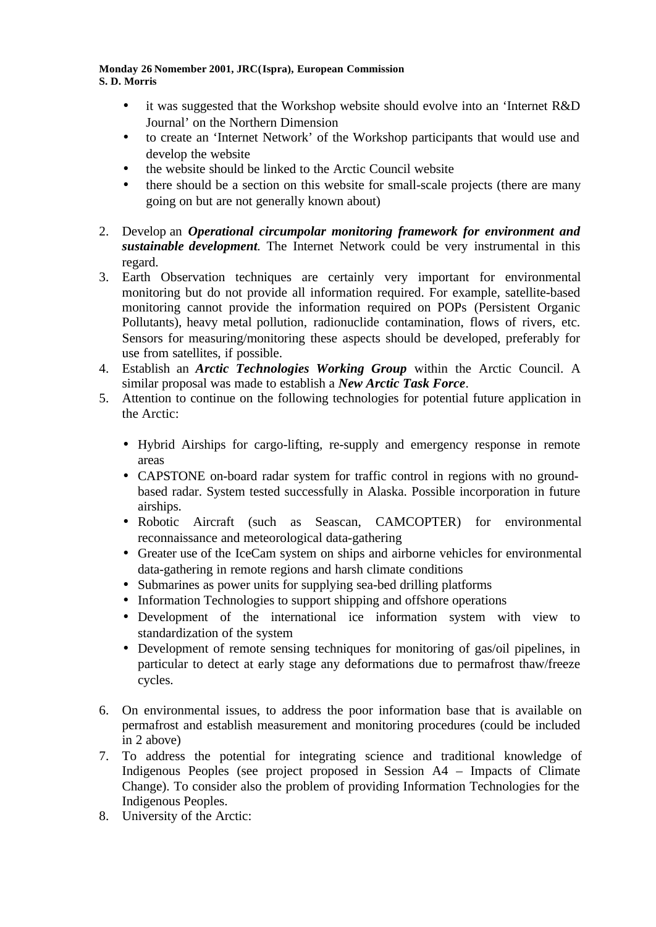- it was suggested that the Workshop website should evolve into an 'Internet R&D Journal' on the Northern Dimension
- to create an 'Internet Network' of the Workshop participants that would use and develop the website
- the website should be linked to the Arctic Council website
- there should be a section on this website for small-scale projects (there are many going on but are not generally known about)
- 2. Develop an *Operational circumpolar monitoring framework for environment and sustainable development.* The Internet Network could be very instrumental in this regard.
- 3. Earth Observation techniques are certainly very important for environmental monitoring but do not provide all information required. For example, satellite-based monitoring cannot provide the information required on POPs (Persistent Organic Pollutants), heavy metal pollution, radionuclide contamination, flows of rivers, etc. Sensors for measuring/monitoring these aspects should be developed, preferably for use from satellites, if possible.
- 4. Establish an *Arctic Technologies Working Group* within the Arctic Council. A similar proposal was made to establish a *New Arctic Task Force*.
- 5. Attention to continue on the following technologies for potential future application in the Arctic:
	- Hybrid Airships for cargo-lifting, re-supply and emergency response in remote areas
	- CAPSTONE on-board radar system for traffic control in regions with no groundbased radar. System tested successfully in Alaska. Possible incorporation in future airships.
	- Robotic Aircraft (such as Seascan, CAMCOPTER) for environmental reconnaissance and meteorological data-gathering
	- Greater use of the IceCam system on ships and airborne vehicles for environmental data-gathering in remote regions and harsh climate conditions
	- Submarines as power units for supplying sea-bed drilling platforms
	- Information Technologies to support shipping and offshore operations
	- Development of the international ice information system with view to standardization of the system
	- Development of remote sensing techniques for monitoring of gas/oil pipelines, in particular to detect at early stage any deformations due to permafrost thaw/freeze cycles.
- 6. On environmental issues, to address the poor information base that is available on permafrost and establish measurement and monitoring procedures (could be included in 2 above)
- 7. To address the potential for integrating science and traditional knowledge of Indigenous Peoples (see project proposed in Session A4 – Impacts of Climate Change). To consider also the problem of providing Information Technologies for the Indigenous Peoples.
- 8. University of the Arctic: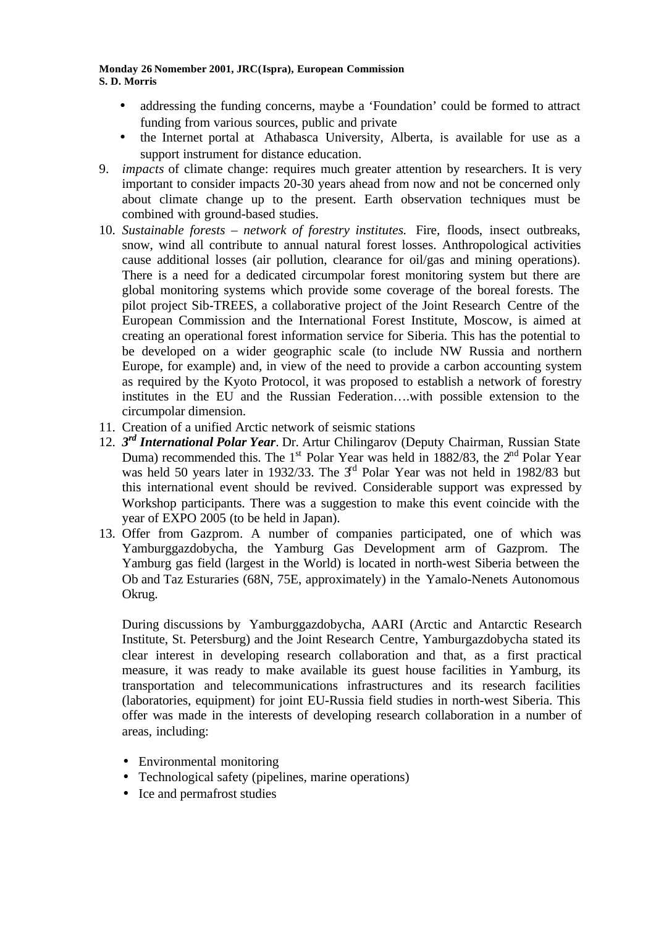- addressing the funding concerns, maybe a 'Foundation' could be formed to attract funding from various sources, public and private
- the Internet portal at Athabasca University, Alberta, is available for use as a support instrument for distance education.
- 9. *impacts* of climate change: requires much greater attention by researchers. It is very important to consider impacts 20-30 years ahead from now and not be concerned only about climate change up to the present. Earth observation techniques must be combined with ground-based studies.
- 10. *Sustainable forests network of forestry institutes.* Fire, floods, insect outbreaks, snow, wind all contribute to annual natural forest losses. Anthropological activities cause additional losses (air pollution, clearance for oil/gas and mining operations). There is a need for a dedicated circumpolar forest monitoring system but there are global monitoring systems which provide some coverage of the boreal forests. The pilot project Sib-TREES, a collaborative project of the Joint Research Centre of the European Commission and the International Forest Institute, Moscow, is aimed at creating an operational forest information service for Siberia. This has the potential to be developed on a wider geographic scale (to include NW Russia and northern Europe, for example) and, in view of the need to provide a carbon accounting system as required by the Kyoto Protocol, it was proposed to establish a network of forestry institutes in the EU and the Russian Federation….with possible extension to the circumpolar dimension.
- 11. Creation of a unified Arctic network of seismic stations
- 12. *3 rd International Polar Year*. Dr. Artur Chilingarov (Deputy Chairman, Russian State Duma) recommended this. The  $1<sup>st</sup>$  Polar Year was held in 1882/83, the  $2<sup>nd</sup>$  Polar Year was held 50 years later in 1932/33. The 3<sup>rd</sup> Polar Year was not held in 1982/83 but this international event should be revived. Considerable support was expressed by Workshop participants. There was a suggestion to make this event coincide with the year of EXPO 2005 (to be held in Japan).
- 13. Offer from Gazprom. A number of companies participated, one of which was Yamburggazdobycha, the Yamburg Gas Development arm of Gazprom. The Yamburg gas field (largest in the World) is located in north-west Siberia between the Ob and Taz Esturaries (68N, 75E, approximately) in the Yamalo-Nenets Autonomous Okrug.

During discussions by Yamburggazdobycha, AARI (Arctic and Antarctic Research Institute, St. Petersburg) and the Joint Research Centre, Yamburgazdobycha stated its clear interest in developing research collaboration and that, as a first practical measure, it was ready to make available its guest house facilities in Yamburg, its transportation and telecommunications infrastructures and its research facilities (laboratories, equipment) for joint EU-Russia field studies in north-west Siberia. This offer was made in the interests of developing research collaboration in a number of areas, including:

- Environmental monitoring
- Technological safety (pipelines, marine operations)
- Ice and permafrost studies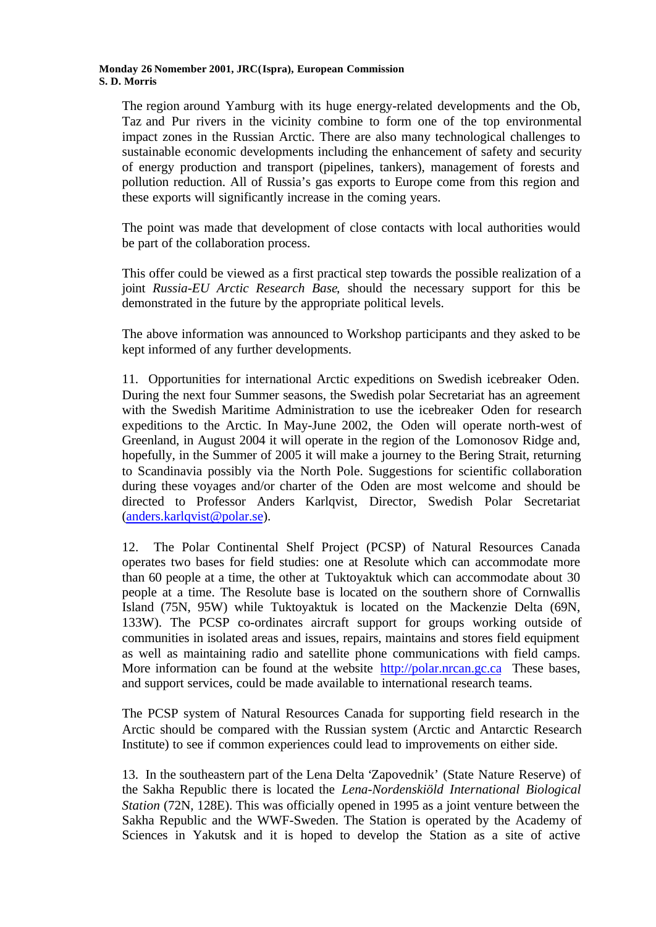The region around Yamburg with its huge energy-related developments and the Ob, Taz and Pur rivers in the vicinity combine to form one of the top environmental impact zones in the Russian Arctic. There are also many technological challenges to sustainable economic developments including the enhancement of safety and security of energy production and transport (pipelines, tankers), management of forests and pollution reduction. All of Russia's gas exports to Europe come from this region and these exports will significantly increase in the coming years.

The point was made that development of close contacts with local authorities would be part of the collaboration process.

This offer could be viewed as a first practical step towards the possible realization of a joint *Russia-EU Arctic Research Base*, should the necessary support for this be demonstrated in the future by the appropriate political levels.

The above information was announced to Workshop participants and they asked to be kept informed of any further developments.

11. Opportunities for international Arctic expeditions on Swedish icebreaker Oden. During the next four Summer seasons, the Swedish polar Secretariat has an agreement with the Swedish Maritime Administration to use the icebreaker Oden for research expeditions to the Arctic. In May-June 2002, the Oden will operate north-west of Greenland, in August 2004 it will operate in the region of the Lomonosov Ridge and, hopefully, in the Summer of 2005 it will make a journey to the Bering Strait, returning to Scandinavia possibly via the North Pole. Suggestions for scientific collaboration during these voyages and/or charter of the Oden are most welcome and should be directed to Professor Anders Karlqvist, Director, Swedish Polar Secretariat (anders.karlqvist@polar.se).

12. The Polar Continental Shelf Project (PCSP) of Natural Resources Canada operates two bases for field studies: one at Resolute which can accommodate more than 60 people at a time, the other at Tuktoyaktuk which can accommodate about 30 people at a time. The Resolute base is located on the southern shore of Cornwallis Island (75N, 95W) while Tuktoyaktuk is located on the Mackenzie Delta (69N, 133W). The PCSP co-ordinates aircraft support for groups working outside of communities in isolated areas and issues, repairs, maintains and stores field equipment as well as maintaining radio and satellite phone communications with field camps. More information can be found at the website http://polar.nrcan.gc.ca These bases, and support services, could be made available to international research teams.

The PCSP system of Natural Resources Canada for supporting field research in the Arctic should be compared with the Russian system (Arctic and Antarctic Research Institute) to see if common experiences could lead to improvements on either side.

13. In the southeastern part of the Lena Delta 'Zapovednik' (State Nature Reserve) of the Sakha Republic there is located the *Lena-Nordenskiöld International Biological Station* (72N, 128E). This was officially opened in 1995 as a joint venture between the Sakha Republic and the WWF-Sweden. The Station is operated by the Academy of Sciences in Yakutsk and it is hoped to develop the Station as a site of active